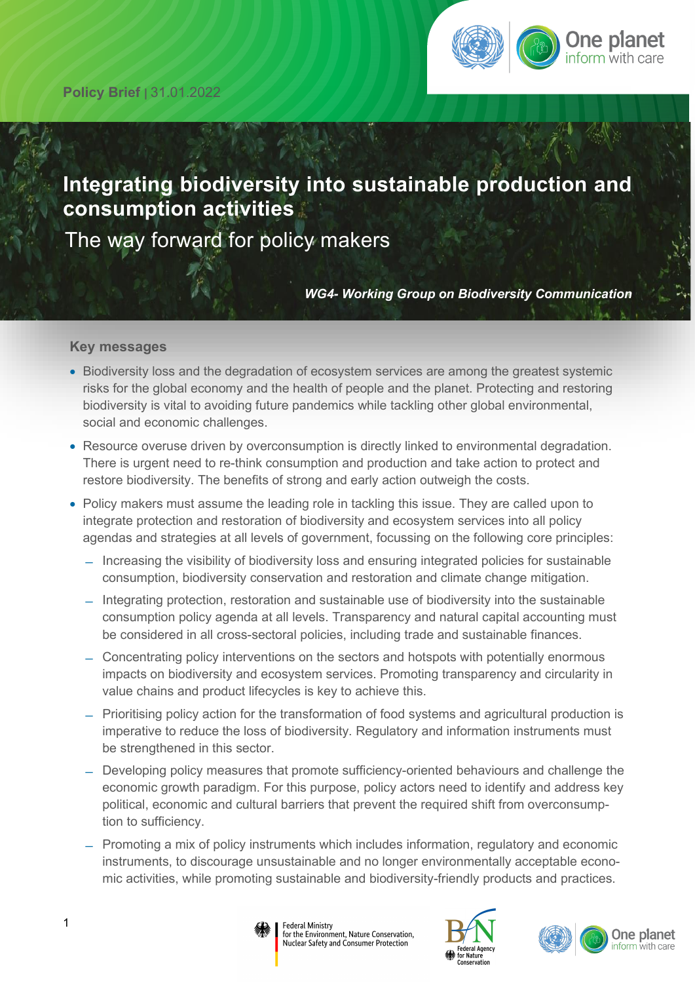

# **Integrating biodiversity into sustainable production and consumption activities**

The way forward for policy makers

*WG4- Working Group on Biodiversity Communication*

#### **Key messages**

- Biodiversity loss and the degradation of ecosystem services are among the greatest systemic risks for the global economy and the health of people and the planet. Protecting and restoring biodiversity is vital to avoiding future pandemics while tackling other global environmental, social and economic challenges.
- Resource overuse driven by overconsumption is directly linked to environmental degradation. There is urgent need to re-think consumption and production and take action to protect and restore biodiversity. The benefits of strong and early action outweigh the costs.
- Policy makers must assume the leading role in tackling this issue. They are called upon to integrate protection and restoration of biodiversity and ecosystem services into all policy agendas and strategies at all levels of government, focussing on the following core principles:
	- ̶ Increasing the visibility of biodiversity loss and ensuring integrated policies for sustainable consumption, biodiversity conservation and restoration and climate change mitigation.
	- ̶ Integrating protection, restoration and sustainable use of biodiversity into the sustainable consumption policy agenda at all levels. Transparency and natural capital accounting must be considered in all cross-sectoral policies, including trade and sustainable finances.
	- ̶ Concentrating policy interventions on the sectors and hotspots with potentially enormous impacts on biodiversity and ecosystem services. Promoting transparency and circularity in value chains and product lifecycles is key to achieve this.
	- ̶ Prioritising policy action for the transformation of food systems and agricultural production is imperative to reduce the loss of biodiversity. Regulatory and information instruments must be strengthened in this sector.
	- ̶ Developing policy measures that promote sufficiency-oriented behaviours and challenge the economic growth paradigm. For this purpose, policy actors need to identify and address key political, economic and cultural barriers that prevent the required shift from overconsumption to sufficiency.
	- ̶ Promoting a mix of policy instruments which includes information, regulatory and economic instruments, to discourage unsustainable and no longer environmentally acceptable economic activities, while promoting sustainable and biodiversity-friendly products and practices.





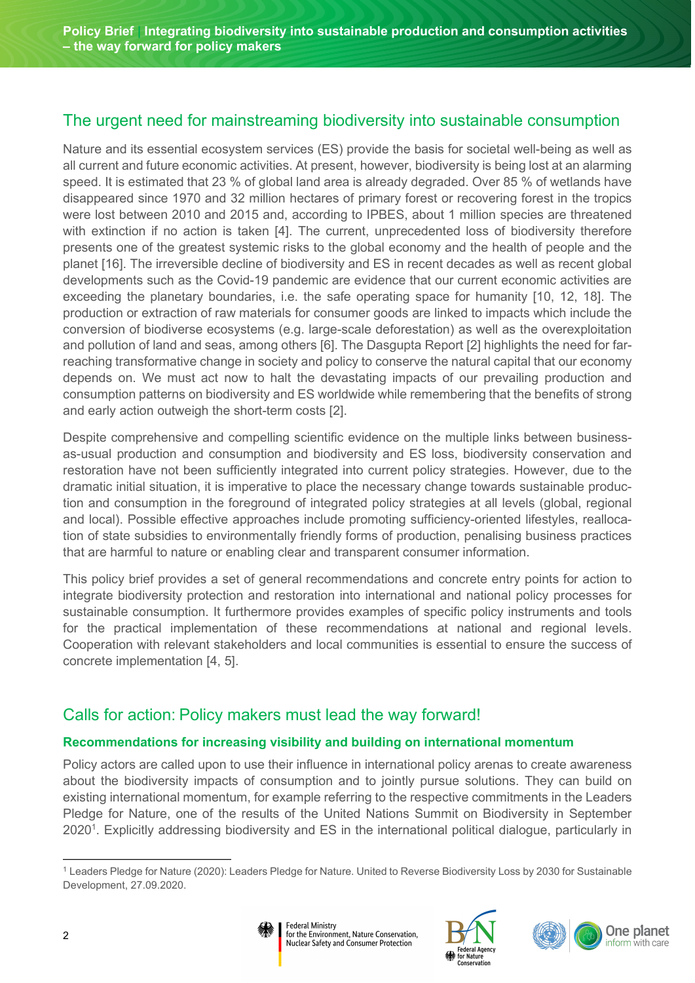# The urgent need for mainstreaming biodiversity into sustainable consumption

Nature and its essential ecosystem services (ES) provide the basis for societal well-being as well as all current and future economic activities. At present, however, biodiversity is being lost at an alarming speed. It is estimated that 23 % of global land area is already degraded. Over 85 % of wetlands have disappeared since 1970 and 32 million hectares of primary forest or recovering forest in the tropics were lost between 2010 and 2015 and, according to IPBES, about 1 million species are threatened with extinction if no action is taken [4]. The current, unprecedented loss of biodiversity therefore presents one of the greatest systemic risks to the global economy and the health of people and the planet [16]. The irreversible decline of biodiversity and ES in recent decades as well as recent global developments such as the Covid-19 pandemic are evidence that our current economic activities are exceeding the planetary boundaries, i.e. the safe operating space for humanity [10, 12, 18]. The production or extraction of raw materials for consumer goods are linked to impacts which include the conversion of biodiverse ecosystems (e.g. large-scale deforestation) as well as the overexploitation and pollution of land and seas, among others [6]. The Dasgupta Report [2] highlights the need for farreaching transformative change in society and policy to conserve the natural capital that our economy depends on. We must act now to halt the devastating impacts of our prevailing production and consumption patterns on biodiversity and ES worldwide while remembering that the benefits of strong and early action outweigh the short-term costs [2].

Despite comprehensive and compelling scientific evidence on the multiple links between businessas-usual production and consumption and biodiversity and ES loss, biodiversity conservation and restoration have not been sufficiently integrated into current policy strategies. However, due to the dramatic initial situation, it is imperative to place the necessary change towards sustainable production and consumption in the foreground of integrated policy strategies at all levels (global, regional and local). Possible effective approaches include promoting sufficiency-oriented lifestyles, reallocation of state subsidies to environmentally friendly forms of production, penalising business practices that are harmful to nature or enabling clear and transparent consumer information.

This policy brief provides a set of general recommendations and concrete entry points for action to integrate biodiversity protection and restoration into international and national policy processes for sustainable consumption. It furthermore provides examples of specific policy instruments and tools for the practical implementation of these recommendations at national and regional levels. Cooperation with relevant stakeholders and local communities is essential to ensure the success of concrete implementation [4, 5].

# Calls for action: Policy makers must lead the way forward!

# **Recommendations for increasing visibility and building on international momentum**

**Federal Ministry** 

Policy actors are called upon to use their influence in international policy arenas to create awareness about the biodiversity impacts of consumption and to jointly pursue solutions. They can build on existing international momentum, for example referring to the respective commitments in the Leaders Pledge for Nature, one of the results of the United Nations Summit on Biodiversity in September 2020<sup>[1](#page-1-0)</sup>. Explicitly addressing biodiversity and ES in the international political dialogue, particularly in

<span id="page-1-1"></span><span id="page-1-0"></span>[<sup>1</sup>](#page-1-1) Leaders Pledge for Nature (2020): Leaders Pledge for Nature. United to Reverse Biodiversity Loss by 2030 for Sustainable Development, 27.09.2020.





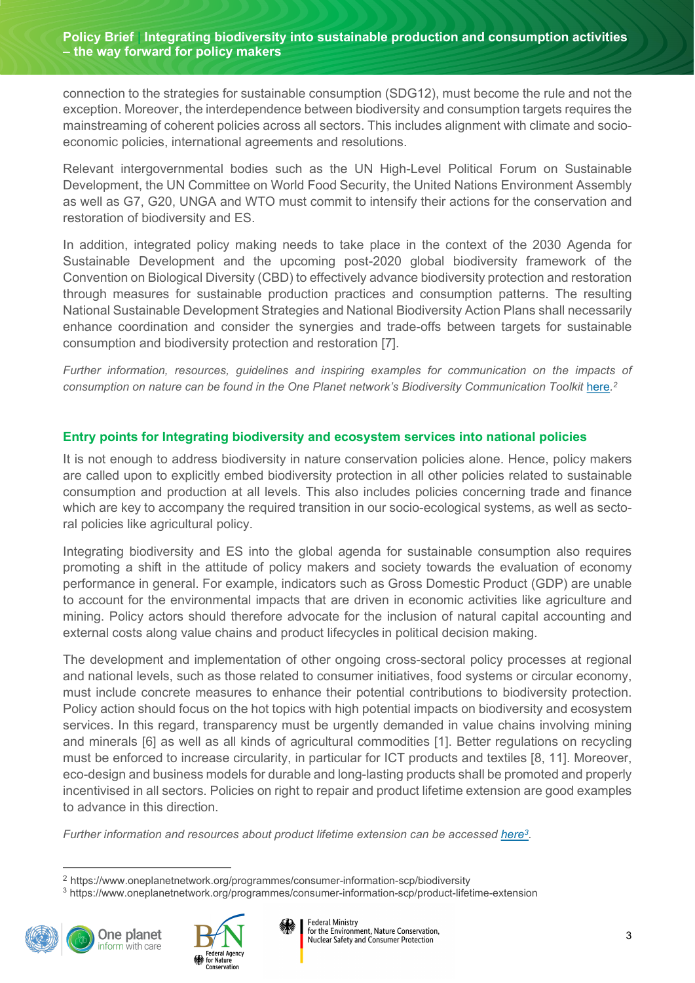**Policy Brief | Integrating biodiversity into sustainable production and consumption activities – the way forward for policy makers**

connection to the strategies for sustainable consumption (SDG12), must become the rule and not the exception. Moreover, the interdependence between biodiversity and consumption targets requires the mainstreaming of coherent policies across all sectors. This includes alignment with climate and socioeconomic policies, international agreements and resolutions.

Relevant intergovernmental bodies such as the UN High-Level Political Forum on Sustainable Development, the UN Committee on World Food Security, the United Nations Environment Assembly as well as G7, G20, UNGA and WTO must commit to intensify their actions for the conservation and restoration of biodiversity and ES.

In addition, integrated policy making needs to take place in the context of the 2030 Agenda for Sustainable Development and the upcoming post-2020 global biodiversity framework of the Convention on Biological Diversity (CBD) to effectively advance biodiversity protection and restoration through measures for sustainable production practices and consumption patterns. The resulting National Sustainable Development Strategies and National Biodiversity Action Plans shall necessarily enhance coordination and consider the synergies and trade-offs between targets for sustainable consumption and biodiversity protection and restoration [7].

<span id="page-2-2"></span>*Further information, resources, guidelines and inspiring examples for communication on the impacts of*  consumption on nature can be found in the One Planet network's Biodiversity Communication Toolkit [here](https://www.oneplanetnetwork.org/programmes/consumer-information-scp/biodiversity).<sup>[2](#page-2-0)</sup>

### **Entry points for Integrating biodiversity and ecosystem services into national policies**

It is not enough to address biodiversity in nature conservation policies alone. Hence, policy makers are called upon to explicitly embed biodiversity protection in all other policies related to sustainable consumption and production at all levels. This also includes policies concerning trade and finance which are key to accompany the required transition in our socio-ecological systems, as well as sectoral policies like agricultural policy.

Integrating biodiversity and ES into the global agenda for sustainable consumption also requires promoting a shift in the attitude of policy makers and society towards the evaluation of economy performance in general. For example, indicators such as Gross Domestic Product (GDP) are unable to account for the environmental impacts that are driven in economic activities like agriculture and mining. Policy actors should therefore advocate for the inclusion of natural capital accounting and external costs along value chains and product lifecycles in political decision making.

The development and implementation of other ongoing cross-sectoral policy processes at regional and national levels, such as those related to consumer initiatives, food systems or circular economy, must include concrete measures to enhance their potential contributions to biodiversity protection. Policy action should focus on the hot topics with high potential impacts on biodiversity and ecosystem services. In this regard, transparency must be urgently demanded in value chains involving mining and minerals [6] as well as all kinds of agricultural commodities [1]. Better regulations on recycling must be enforced to increase circularity, in particular for ICT products and textiles [8, 11]. Moreover, eco-design and business models for durable and long-lasting products shall be promoted and properly incentivised in all sectors. Policies on right to repair and product lifetime extension are good examples to advance in this direction.

*Further information and resources about product lifetime extension can be accessed [here](https://www.oneplanetnetwork.org/programmes/consumer-information-scp/product-lifetime-extension)[3](#page-2-1) .*

[<sup>3</sup>](#page-2-3) https://www.oneplanetnetwork.org/programmes/consumer-information-scp/product-lifetime-extension



<span id="page-2-3"></span>

<span id="page-2-1"></span><span id="page-2-0"></span>[<sup>2</sup>](#page-2-2) https://www.oneplanetnetwork.org/programmes/consumer-information-scp/biodiversity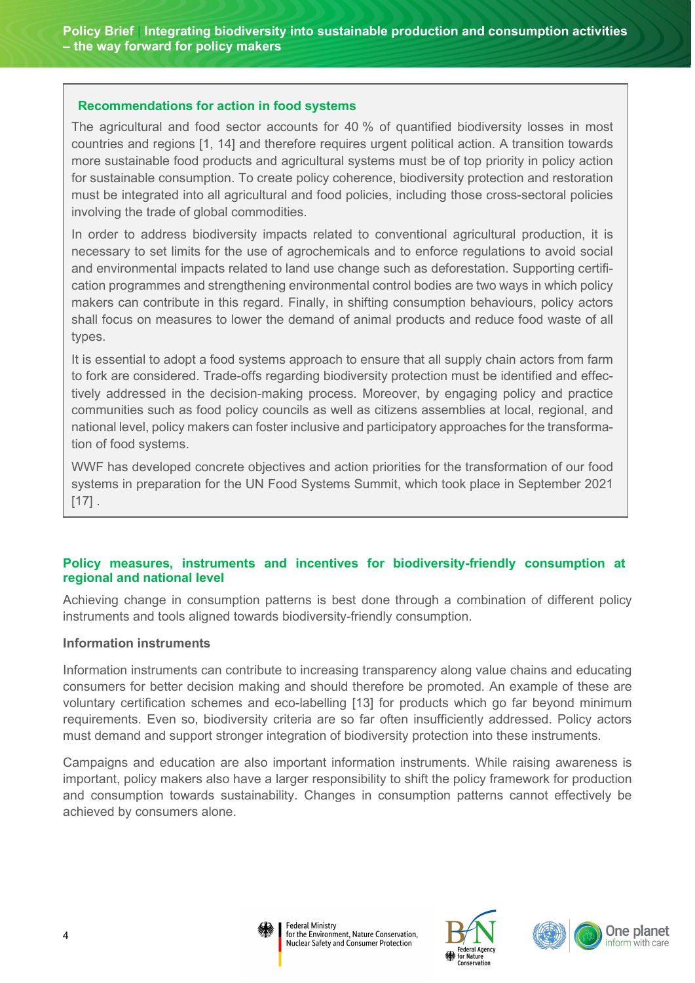#### **Recommendations for action in food systems**

The agricultural and food sector accounts for 40 % of quantified biodiversity losses in most countries and regions [1, 14] and therefore requires urgent political action. A transition towards more sustainable food products and agricultural systems must be of top priority in policy action for sustainable consumption. To create policy coherence, biodiversity protection and restoration must be integrated into all agricultural and food policies, including those cross-sectoral policies involving the trade of global commodities.

In order to address biodiversity impacts related to conventional agricultural production, it is necessary to set limits for the use of agrochemicals and to enforce regulations to avoid social and environmental impacts related to land use change such as deforestation. Supporting certification programmes and strengthening environmental control bodies are two ways in which policy makers can contribute in this regard. Finally, in shifting consumption behaviours, policy actors shall focus on measures to lower the demand of animal products and reduce food waste of all types.

It is essential to adopt a food systems approach to ensure that all supply chain actors from farm to fork are considered. Trade-offs regarding biodiversity protection must be identified and effectively addressed in the decision-making process. Moreover, by engaging policy and practice communities such as food policy councils as well as citizens assemblies at local, regional, and national level, policy makers can foster inclusive and participatory approaches for the transformation of food systems.

WWF has developed concrete objectives and action priorities for the transformation of our food systems in preparation for the UN Food Systems Summit, which took place in September 2021  $[17]$ .

### **Policy measures, instruments and incentives for biodiversity-friendly consumption at regional and national level**

Achieving change in consumption patterns is best done through a combination of different policy instruments and tools aligned towards biodiversity-friendly consumption.

#### **Information instruments**

Information instruments can contribute to increasing transparency along value chains and educating consumers for better decision making and should therefore be promoted. An example of these are voluntary certification schemes and eco-labelling [13] for products which go far beyond minimum requirements. Even so, biodiversity criteria are so far often insufficiently addressed. Policy actors must demand and support stronger integration of biodiversity protection into these instruments.

Campaigns and education are also important information instruments. While raising awareness is important, policy makers also have a larger responsibility to shift the policy framework for production and consumption towards sustainability. Changes in consumption patterns cannot effectively be achieved by consumers alone.





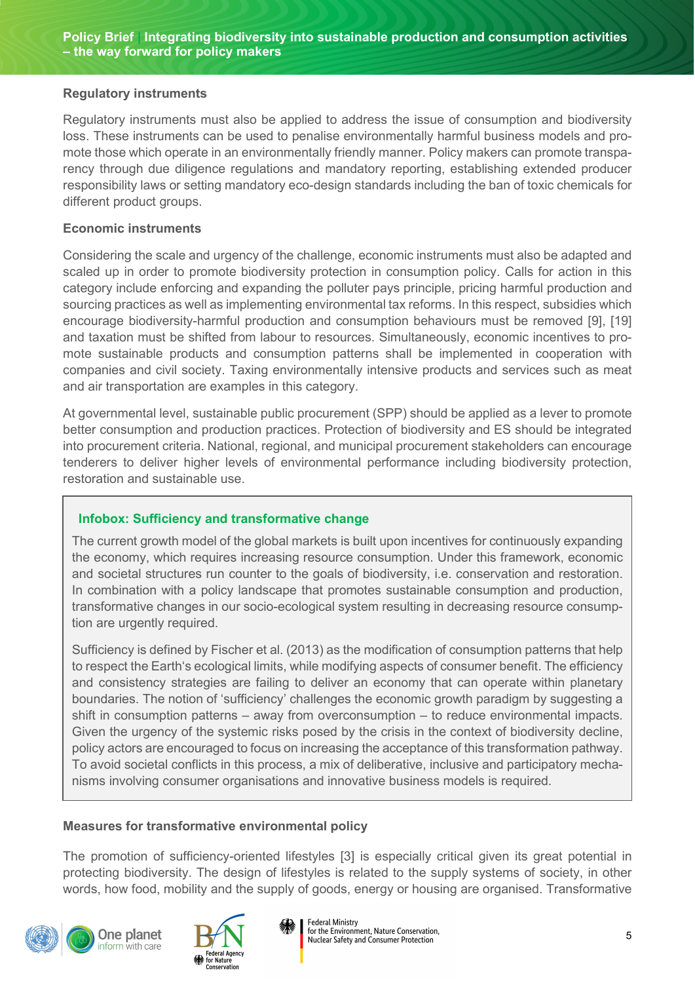### **Regulatory instruments**

Regulatory instruments must also be applied to address the issue of consumption and biodiversity loss. These instruments can be used to penalise environmentally harmful business models and promote those which operate in an environmentally friendly manner. Policy makers can promote transparency through due diligence regulations and mandatory reporting, establishing extended producer responsibility laws or setting mandatory eco-design standards including the ban of toxic chemicals for different product groups.

### **Economic instruments**

Considering the scale and urgency of the challenge, economic instruments must also be adapted and scaled up in order to promote biodiversity protection in consumption policy. Calls for action in this category include enforcing and expanding the polluter pays principle, pricing harmful production and sourcing practices as well as implementing environmental tax reforms. In this respect, subsidies which encourage biodiversity-harmful production and consumption behaviours must be removed [9], [19] and taxation must be shifted from labour to resources. Simultaneously, economic incentives to promote sustainable products and consumption patterns shall be implemented in cooperation with companies and civil society. Taxing environmentally intensive products and services such as meat and air transportation are examples in this category.

At governmental level, sustainable public procurement (SPP) should be applied as a lever to promote better consumption and production practices. Protection of biodiversity and ES should be integrated into procurement criteria. National, regional, and municipal procurement stakeholders can encourage tenderers to deliver higher levels of environmental performance including biodiversity protection, restoration and sustainable use.

### **Infobox: Sufficiency and transformative change**

The current growth model of the global markets is built upon incentives for continuously expanding the economy, which requires increasing resource consumption. Under this framework, economic and societal structures run counter to the goals of biodiversity, i.e. conservation and restoration. In combination with a policy landscape that promotes sustainable consumption and production, transformative changes in our socio-ecological system resulting in decreasing resource consumption are urgently required.

Sufficiency is defined by Fischer et al. (2013) as the modification of consumption patterns that help to respect the Earth's ecological limits, while modifying aspects of consumer benefit. The efficiency and consistency strategies are failing to deliver an economy that can operate within planetary boundaries. The notion of 'sufficiency' challenges the economic growth paradigm by suggesting a shift in consumption patterns – away from overconsumption – to reduce environmental impacts. Given the urgency of the systemic risks posed by the crisis in the context of biodiversity decline, policy actors are encouraged to focus on increasing the acceptance of this transformation pathway. To avoid societal conflicts in this process, a mix of deliberative, inclusive and participatory mechanisms involving consumer organisations and innovative business models is required.

### **Measures for transformative environmental policy**

The promotion of sufficiency-oriented lifestyles [3] is especially critical given its great potential in protecting biodiversity. The design of lifestyles is related to the supply systems of society, in other words, how food, mobility and the supply of goods, energy or housing are organised. Transformative



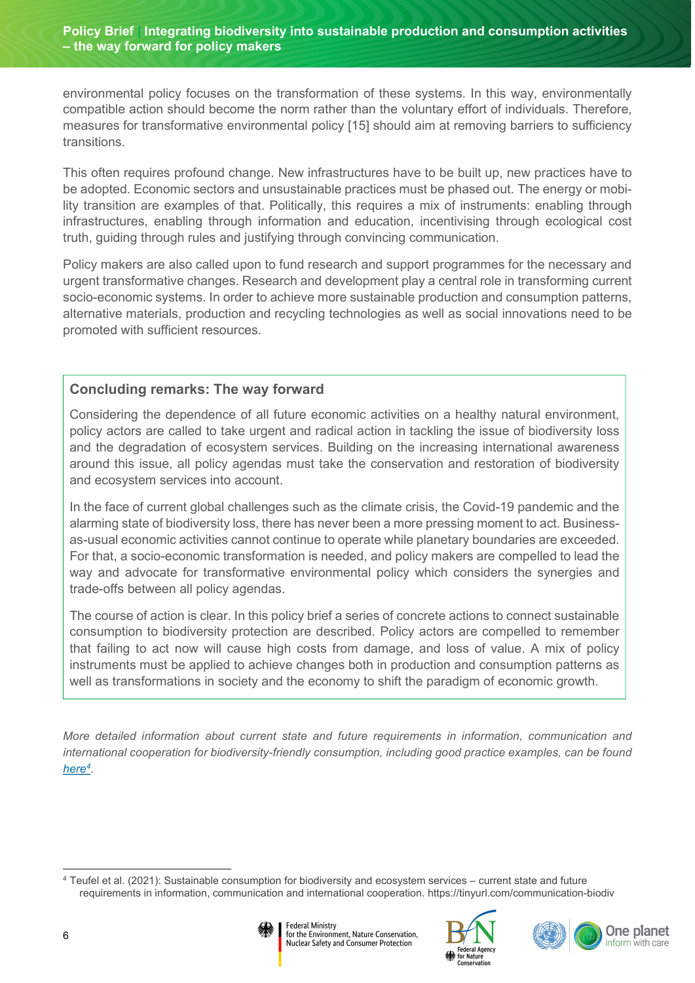environmental policy focuses on the transformation of these systems. In this way, environmentally compatible action should become the norm rather than the voluntary effort of individuals. Therefore, measures for transformative environmental policy [15] should aim at removing barriers to sufficiency transitions.

This often requires profound change. New infrastructures have to be built up, new practices have to be adopted. Economic sectors and unsustainable practices must be phased out. The energy or mobility transition are examples of that. Politically, this requires a mix of instruments: enabling through infrastructures, enabling through information and education, incentivising through ecological cost truth, guiding through rules and justifying through convincing communication.

Policy makers are also called upon to fund research and support programmes for the necessary and urgent transformative changes. Research and development play a central role in transforming current socio-economic systems. In order to achieve more sustainable production and consumption patterns, alternative materials, production and recycling technologies as well as social innovations need to be promoted with sufficient resources.

# **Concluding remarks: The way forward**

Considering the dependence of all future economic activities on a healthy natural environment, policy actors are called to take urgent and radical action in tackling the issue of biodiversity loss and the degradation of ecosystem services. Building on the increasing international awareness around this issue, all policy agendas must take the conservation and restoration of biodiversity and ecosystem services into account.

In the face of current global challenges such as the climate crisis, the Covid-19 pandemic and the alarming state of biodiversity loss, there has never been a more pressing moment to act. Businessas-usual economic activities cannot continue to operate while planetary boundaries are exceeded. For that, a socio-economic transformation is needed, and policy makers are compelled to lead the way and advocate for transformative environmental policy which considers the synergies and trade-offs between all policy agendas.

The course of action is clear. In this policy brief a series of concrete actions to connect sustainable consumption to biodiversity protection are described. Policy actors are compelled to remember that failing to act now will cause high costs from damage, and loss of value. A mix of policy instruments must be applied to achieve changes both in production and consumption patterns as well as transformations in society and the economy to shift the paradigm of economic growth.

<span id="page-5-1"></span>*More detailed information about current state and future requirements in information, communication and international cooperation for biodiversity-friendly consumption, including good practice examples, can be found [here](https://www.bfn.de/sites/default/files/2021-12/2021-sustainable-consumption-information-communication-cooperation-bfn_0.pdf)[4](#page-5-0) .*

<span id="page-5-0"></span>[<sup>4</sup>](#page-5-1) Teufel et al. (2021): Sustainable consumption for biodiversity and ecosystem services – current state and future requirements in information, communication and international cooperation. https://tinyurl.com/communication-biodiv







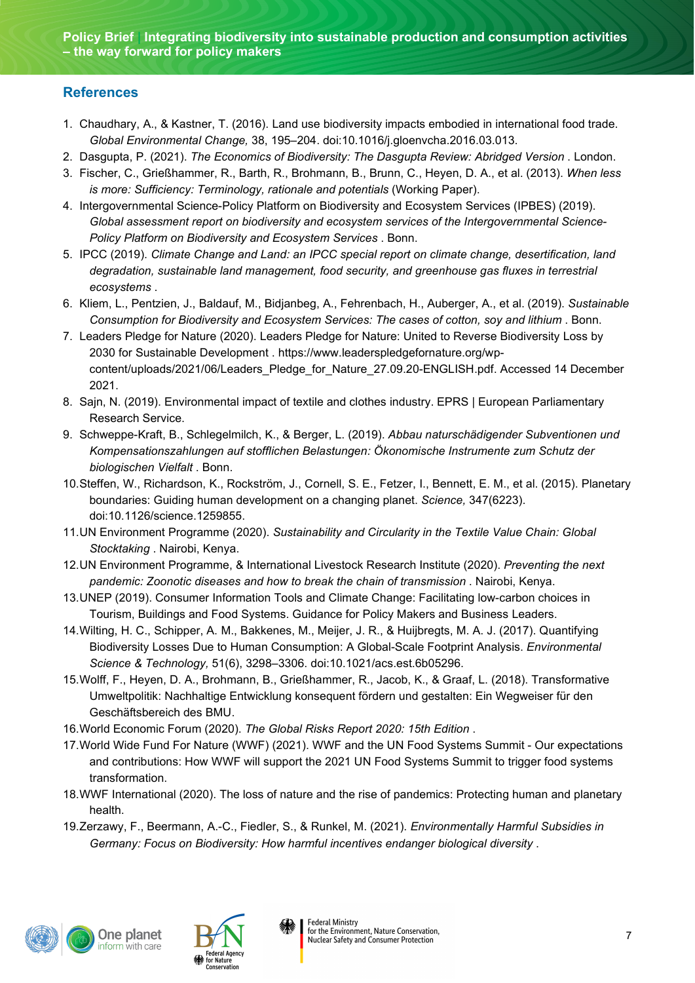## **References**

- 1. Chaudhary, A., & Kastner, T. (2016). Land use biodiversity impacts embodied in international food trade. *Global Environmental Change,* 38, 195–204. doi:10.1016/j.gloenvcha.2016.03.013.
- 2. Dasgupta, P. (2021). *The Economics of Biodiversity: The Dasgupta Review: Abridged Version* . London.
- 3. Fischer, C., Grießhammer, R., Barth, R., Brohmann, B., Brunn, C., Heyen, D. A., et al. (2013). *When less is more: Sufficiency: Terminology, rationale and potentials* (Working Paper).
- 4. Intergovernmental Science-Policy Platform on Biodiversity and Ecosystem Services (IPBES) (2019). *Global assessment report on biodiversity and ecosystem services of the Intergovernmental Science-Policy Platform on Biodiversity and Ecosystem Services* . Bonn.
- 5. IPCC (2019). *Climate Change and Land: an IPCC special report on climate change, desertification, land degradation, sustainable land management, food security, and greenhouse gas fluxes in terrestrial ecosystems* .
- 6. Kliem, L., Pentzien, J., Baldauf, M., Bidjanbeg, A., Fehrenbach, H., Auberger, A., et al. (2019). *Sustainable Consumption for Biodiversity and Ecosystem Services: The cases of cotton, soy and lithium* . Bonn.
- 7. Leaders Pledge for Nature (2020). Leaders Pledge for Nature: United to Reverse Biodiversity Loss by 2030 for Sustainable Development . https://www.leaderspledgefornature.org/wpcontent/uploads/2021/06/Leaders\_Pledge\_for\_Nature\_27.09.20-ENGLISH.pdf. Accessed 14 December 2021.
- 8. Sajn, N. (2019). Environmental impact of textile and clothes industry. EPRS | European Parliamentary Research Service.
- 9. Schweppe-Kraft, B., Schlegelmilch, K., & Berger, L. (2019). *Abbau naturschädigender Subventionen und Kompensationszahlungen auf stofflichen Belastungen: Ökonomische Instrumente zum Schutz der biologischen Vielfalt* . Bonn.
- 10.Steffen, W., Richardson, K., Rockström, J., Cornell, S. E., Fetzer, I., Bennett, E. M., et al. (2015). Planetary boundaries: Guiding human development on a changing planet. *Science,* 347(6223). doi:10.1126/science.1259855.
- 11.UN Environment Programme (2020). *Sustainability and Circularity in the Textile Value Chain: Global Stocktaking* . Nairobi, Kenya.
- 12.UN Environment Programme, & International Livestock Research Institute (2020). *Preventing the next pandemic: Zoonotic diseases and how to break the chain of transmission* . Nairobi, Kenya.
- 13.UNEP (2019). Consumer Information Tools and Climate Change: Facilitating low-carbon choices in Tourism, Buildings and Food Systems. Guidance for Policy Makers and Business Leaders.
- 14.Wilting, H. C., Schipper, A. M., Bakkenes, M., Meijer, J. R., & Huijbregts, M. A. J. (2017). Quantifying Biodiversity Losses Due to Human Consumption: A Global-Scale Footprint Analysis. *Environmental Science & Technology,* 51(6), 3298–3306. doi:10.1021/acs.est.6b05296.
- 15.Wolff, F., Heyen, D. A., Brohmann, B., Grießhammer, R., Jacob, K., & Graaf, L. (2018). Transformative Umweltpolitik: Nachhaltige Entwicklung konsequent fördern und gestalten: Ein Wegweiser für den Geschäftsbereich des BMU.
- 16.World Economic Forum (2020). *The Global Risks Report 2020: 15th Edition* .
- 17.World Wide Fund For Nature (WWF) (2021). WWF and the UN Food Systems Summit Our expectations and contributions: How WWF will support the 2021 UN Food Systems Summit to trigger food systems transformation.
- 18.WWF International (2020). The loss of nature and the rise of pandemics: Protecting human and planetary health.
- 19.Zerzawy, F., Beermann, A.-C., Fiedler, S., & Runkel, M. (2021). *Environmentally Harmful Subsidies in Germany: Focus on Biodiversity: How harmful incentives endanger biological diversity* .